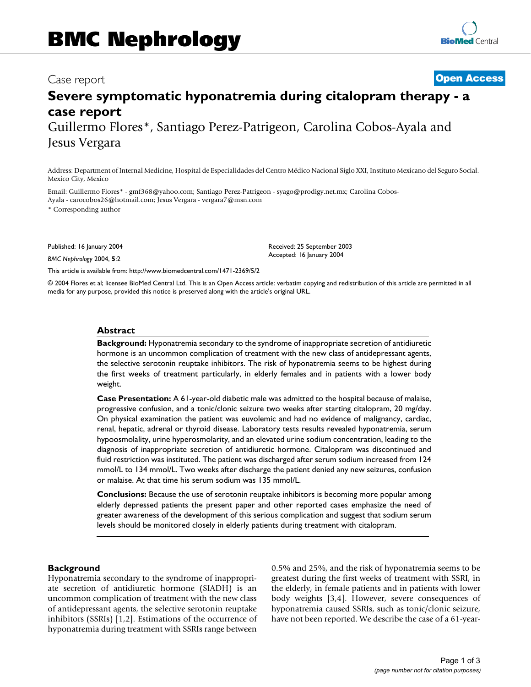# Case report **[Open Access](http://www.biomedcentral.com/info/about/charter/)**

# **Severe symptomatic hyponatremia during citalopram therapy - a case report** Guillermo Flores\*, Santiago Perez-Patrigeon, Carolina Cobos-Ayala and Jesus Vergara

Address: Department of Internal Medicine, Hospital de Especialidades del Centro Médico Nacional Siglo XXI, Instituto Mexicano del Seguro Social. Mexico City, Mexico

Email: Guillermo Flores\* - gmf368@yahoo.com; Santiago Perez-Patrigeon - syago@prodigy.net.mx; Carolina Cobos-Ayala - carocobos26@hotmail.com; Jesus Vergara - vergara7@msn.com

\* Corresponding author

Published: 16 January 2004

*BMC Nephrology* 2004, **5**:2

[This article is available from: http://www.biomedcentral.com/1471-2369/5/2](http://www.biomedcentral.com/1471-2369/5/2)

© 2004 Flores et al; licensee BioMed Central Ltd. This is an Open Access article: verbatim copying and redistribution of this article are permitted in all media for any purpose, provided this notice is preserved along with the article's original URL.

Received: 25 September 2003 Accepted: 16 January 2004

#### **Abstract**

**Background:** Hyponatremia secondary to the syndrome of inappropriate secretion of antidiuretic hormone is an uncommon complication of treatment with the new class of antidepressant agents, the selective serotonin reuptake inhibitors. The risk of hyponatremia seems to be highest during the first weeks of treatment particularly, in elderly females and in patients with a lower body weight.

**Case Presentation:** A 61-year-old diabetic male was admitted to the hospital because of malaise, progressive confusion, and a tonic/clonic seizure two weeks after starting citalopram, 20 mg/day. On physical examination the patient was euvolemic and had no evidence of malignancy, cardiac, renal, hepatic, adrenal or thyroid disease. Laboratory tests results revealed hyponatremia, serum hypoosmolality, urine hyperosmolarity, and an elevated urine sodium concentration, leading to the diagnosis of inappropriate secretion of antidiuretic hormone. Citalopram was discontinued and fluid restriction was instituted. The patient was discharged after serum sodium increased from 124 mmol/L to 134 mmol/L. Two weeks after discharge the patient denied any new seizures, confusion or malaise. At that time his serum sodium was 135 mmol/L.

**Conclusions:** Because the use of serotonin reuptake inhibitors is becoming more popular among elderly depressed patients the present paper and other reported cases emphasize the need of greater awareness of the development of this serious complication and suggest that sodium serum levels should be monitored closely in elderly patients during treatment with citalopram.

#### **Background**

Hyponatremia secondary to the syndrome of inappropriate secretion of antidiuretic hormone (SIADH) is an uncommon complication of treatment with the new class of antidepressant agents, the selective serotonin reuptake inhibitors (SSRIs) [1,2]. Estimations of the occurrence of hyponatremia during treatment with SSRIs range between 0.5% and 25%, and the risk of hyponatremia seems to be greatest during the first weeks of treatment with SSRI, in the elderly, in female patients and in patients with lower body weights [3,4]. However, severe consequences of hyponatremia caused SSRIs, such as tonic/clonic seizure, have not been reported. We describe the case of a 61-year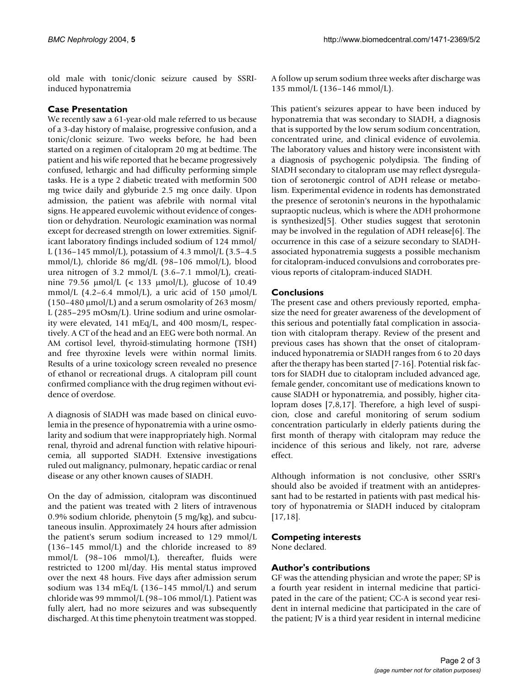old male with tonic/clonic seizure caused by SSRIinduced hyponatremia

# **Case Presentation**

We recently saw a 61-year-old male referred to us because of a 3-day history of malaise, progressive confusion, and a tonic/clonic seizure. Two weeks before, he had been started on a regimen of citalopram 20 mg at bedtime. The patient and his wife reported that he became progressively confused, lethargic and had difficulty performing simple tasks. He is a type 2 diabetic treated with metformin 500 mg twice daily and glyburide 2.5 mg once daily. Upon admission, the patient was afebrile with normal vital signs. He appeared euvolemic without evidence of congestion or dehydration. Neurologic examination was normal except for decreased strength on lower extremities. Significant laboratory findings included sodium of 124 mmol/ L (136–145 mmol/L), potassium of 4.3 mmol/L (3.5–4.5 mmol/L), chloride 86 mg/dL (98–106 mmol/L), blood urea nitrogen of 3.2 mmol/L (3.6–7.1 mmol/L), creatinine 79.56 µmol/L (< 133 µmol/L), glucose of 10.49 mmol/L  $(4.2-6.4 \text{ mmol/L})$ , a uric acid of 150  $\mu$ mol/L  $(150-480 \,\mu\text{mol/L})$  and a serum osmolarity of 263 mosm/ L (285–295 mOsm/L). Urine sodium and urine osmolarity were elevated, 141 mEq/L, and 400 mosm/L, respectively. A CT of the head and an EEG were both normal. An AM cortisol level, thyroid-stimulating hormone (TSH) and free thyroxine levels were within normal limits. Results of a urine toxicology screen revealed no presence of ethanol or recreational drugs. A citalopram pill count confirmed compliance with the drug regimen without evidence of overdose.

A diagnosis of SIADH was made based on clinical euvolemia in the presence of hyponatremia with a urine osmolarity and sodium that were inappropriately high. Normal renal, thyroid and adrenal function with relative hipouricemia, all supported SIADH. Extensive investigations ruled out malignancy, pulmonary, hepatic cardiac or renal disease or any other known causes of SIADH.

On the day of admission, citalopram was discontinued and the patient was treated with 2 liters of intravenous 0.9% sodium chloride, phenytoin (5 mg/kg), and subcutaneous insulin. Approximately 24 hours after admission the patient's serum sodium increased to 129 mmol/L (136–145 mmol/L) and the chloride increased to 89 mmol/L (98–106 mmol/L), thereafter, fluids were restricted to 1200 ml/day. His mental status improved over the next 48 hours. Five days after admission serum sodium was 134 mEq/L (136–145 mmol/L) and serum chloride was 99 mmmol/L (98–106 mmol/L). Patient was fully alert, had no more seizures and was subsequently discharged. At this time phenytoin treatment was stopped.

A follow up serum sodium three weeks after discharge was 135 mmol/L (136–146 mmol/L).

This patient's seizures appear to have been induced by hyponatremia that was secondary to SIADH, a diagnosis that is supported by the low serum sodium concentration, concentrated urine, and clinical evidence of euvolemia. The laboratory values and history were inconsistent with a diagnosis of psychogenic polydipsia. The finding of SIADH secondary to citalopram use may reflect dysregulation of serotonergic control of ADH release or metabolism. Experimental evidence in rodents has demonstrated the presence of serotonin's neurons in the hypothalamic supraoptic nucleus, which is where the ADH prohormone is synthesized[5]. Other studies suggest that serotonin may be involved in the regulation of ADH release[6]. The occurrence in this case of a seizure secondary to SIADHassociated hyponatremia suggests a possible mechanism for citalopram-induced convulsions and corroborates previous reports of citalopram-induced SIADH.

## **Conclusions**

The present case and others previously reported, emphasize the need for greater awareness of the development of this serious and potentially fatal complication in association with citalopram therapy. Review of the present and previous cases has shown that the onset of citalopraminduced hyponatremia or SIADH ranges from 6 to 20 days after the therapy has been started [7-16]. Potential risk factors for SIADH due to citalopram included advanced age, female gender, concomitant use of medications known to cause SIADH or hyponatremia, and possibly, higher citalopram doses [7,8,17]. Therefore, a high level of suspicion, close and careful monitoring of serum sodium concentration particularly in elderly patients during the first month of therapy with citalopram may reduce the incidence of this serious and likely, not rare, adverse effect.

Although information is not conclusive, other SSRI's should also be avoided if treatment with an antidepressant had to be restarted in patients with past medical history of hyponatremia or SIADH induced by citalopram [17,18].

#### **Competing interests**

None declared.

## **Author's contributions**

GF was the attending physician and wrote the paper; SP is a fourth year resident in internal medicine that participated in the care of the patient; CC-A is second year resident in internal medicine that participated in the care of the patient; JV is a third year resident in internal medicine